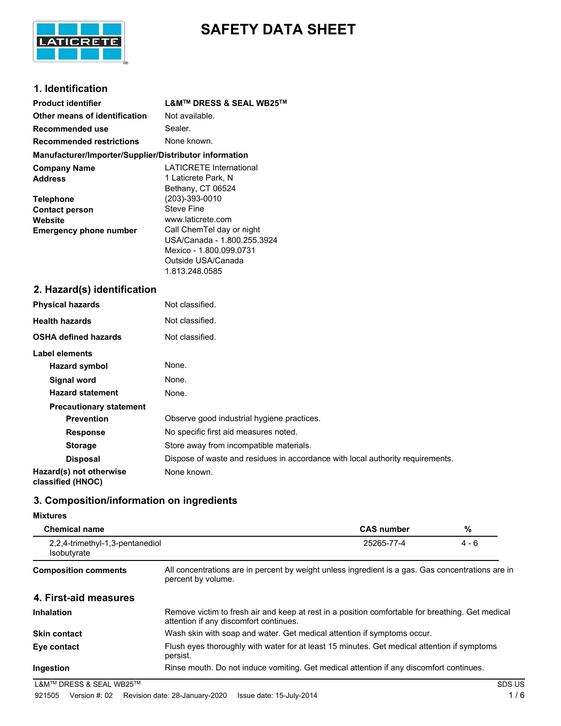

# **SAFETY DATA SHEET**

# **1. Identification**

| <b>Product identifier</b>                              | <b>L&amp;M™ DRESS &amp; SEAL WB25™</b>                                                         |
|--------------------------------------------------------|------------------------------------------------------------------------------------------------|
| Other means of identification                          | Not available.                                                                                 |
| <b>Recommended use</b>                                 | Sealer.                                                                                        |
| <b>Recommended restrictions</b>                        | None known.                                                                                    |
| Manufacturer/Importer/Supplier/Distributor information |                                                                                                |
| <b>Company Name</b><br><b>Address</b>                  | <b>LATICRETE International</b><br>1 Laticrete Park, N<br>Bethany, CT 06524                     |
| <b>Telephone</b>                                       | (203)-393-0010                                                                                 |
| <b>Contact person</b><br>Website                       | <b>Steve Fine</b><br>www.laticrete.com<br>Call ChemTel day or night                            |
| <b>Emergency phone number</b>                          | USA/Canada - 1.800.255.3924<br>Mexico - 1.800.099.0731<br>Outside USA/Canada<br>1.813.248.0585 |
| 2. Hazard(s) identification                            |                                                                                                |
| <b>Physical hazards</b>                                | Not classified.                                                                                |
| <b>Health hazards</b>                                  | Not classified.                                                                                |
| <b>OSHA defined hazards</b>                            | Not classified.                                                                                |
| Label elements                                         |                                                                                                |
| <b>Hazard symbol</b>                                   | None.                                                                                          |
| <b>Signal word</b>                                     | None.                                                                                          |
| <b>Hazard statement</b>                                | None.                                                                                          |
| <b>Precautionary statement</b>                         |                                                                                                |
| <b>Prevention</b>                                      | Observe good industrial hygiene practices.                                                     |
| <b>Response</b>                                        | No specific first aid measures noted.                                                          |
| <b>Storage</b>                                         | Store away from incompatible materials.                                                        |
| <b>Disposal</b>                                        | Dispose of waste and residues in accordance with local authority requirements.                 |
| Hazard(s) not otherwise<br>classified (HNOC)           | None known.                                                                                    |

# **3. Composition/information on ingredients**

#### **Mixtures**

| <b>Chemical name</b>                                  |                                                                                                                                            | <b>CAS number</b> | %       |
|-------------------------------------------------------|--------------------------------------------------------------------------------------------------------------------------------------------|-------------------|---------|
| 2.2.4-trimethyl-1.3-pentanediol<br><b>Isobutyrate</b> |                                                                                                                                            | 25265-77-4        | $4 - 6$ |
| <b>Composition comments</b>                           | All concentrations are in percent by weight unless ingredient is a gas. Gas concentrations are in<br>percent by volume.                    |                   |         |
| 4. First-aid measures                                 |                                                                                                                                            |                   |         |
| <b>Inhalation</b>                                     | Remove victim to fresh air and keep at rest in a position comfortable for breathing. Get medical<br>attention if any discomfort continues. |                   |         |
| <b>Skin contact</b>                                   | Wash skin with soap and water. Get medical attention if symptoms occur.                                                                    |                   |         |
| Eye contact                                           | Flush eyes thoroughly with water for at least 15 minutes. Get medical attention if symptoms<br>persist.                                    |                   |         |
| Ingestion                                             | Rinse mouth. Do not induce vomiting. Get medical attention if any discomfort continues.                                                    |                   |         |
| L&M™ DRESS & SEAL WB25™                               |                                                                                                                                            |                   | SDS US  |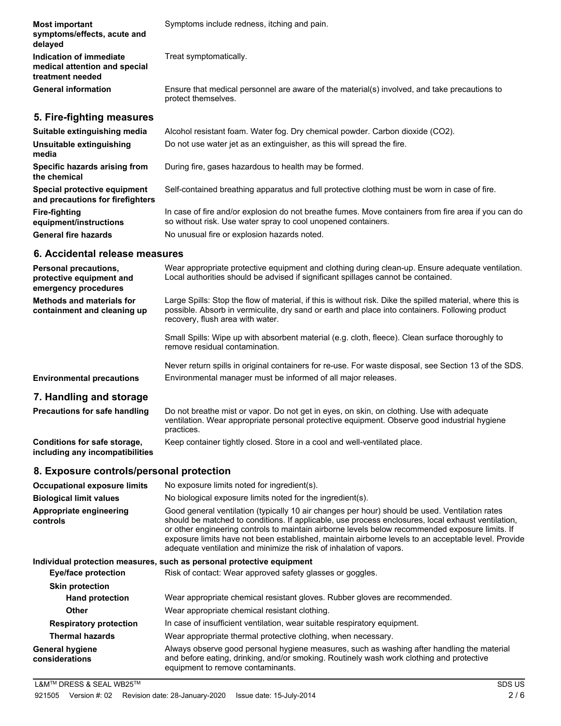| <b>Most important</b><br>symptoms/effects, acute and<br>delayed              | Symptoms include redness, itching and pain.                                                                                                                          |
|------------------------------------------------------------------------------|----------------------------------------------------------------------------------------------------------------------------------------------------------------------|
| Indication of immediate<br>medical attention and special<br>treatment needed | Treat symptomatically.                                                                                                                                               |
| <b>General information</b>                                                   | Ensure that medical personnel are aware of the material(s) involved, and take precautions to<br>protect themselves.                                                  |
| 5. Fire-fighting measures                                                    |                                                                                                                                                                      |
| Suitable extinguishing media                                                 | Alcohol resistant foam. Water fog. Dry chemical powder. Carbon dioxide (CO2).                                                                                        |
| Unsuitable extinguishing<br>media                                            | Do not use water jet as an extinguisher, as this will spread the fire.                                                                                               |
| Specific hazards arising from<br>the chemical                                | During fire, gases hazardous to health may be formed.                                                                                                                |
| Special protective equipment<br>and precautions for firefighters             | Self-contained breathing apparatus and full protective clothing must be worn in case of fire.                                                                        |
| <b>Fire-fighting</b><br>equipment/instructions                               | In case of fire and/or explosion do not breathe fumes. Move containers from fire area if you can do<br>so without risk. Use water spray to cool unopened containers. |
| <b>General fire hazards</b>                                                  | No unusual fire or explosion hazards noted.                                                                                                                          |
| .                                                                            |                                                                                                                                                                      |

#### **6. Accidental release measures**

| <b>Personal precautions,</b><br>protective equipment and<br>emergency procedures | Wear appropriate protective equipment and clothing during clean-up. Ensure adequate ventilation.<br>Local authorities should be advised if significant spillages cannot be contained.                                                                                                                                                                                                                                                                                                 |
|----------------------------------------------------------------------------------|---------------------------------------------------------------------------------------------------------------------------------------------------------------------------------------------------------------------------------------------------------------------------------------------------------------------------------------------------------------------------------------------------------------------------------------------------------------------------------------|
| <b>Methods and materials for</b><br>containment and cleaning up                  | Large Spills: Stop the flow of material, if this is without risk. Dike the spilled material, where this is<br>possible. Absorb in vermiculite, dry sand or earth and place into containers. Following product<br>recovery, flush area with water.                                                                                                                                                                                                                                     |
|                                                                                  | Small Spills: Wipe up with absorbent material (e.g. cloth, fleece). Clean surface thoroughly to<br>remove residual contamination.                                                                                                                                                                                                                                                                                                                                                     |
|                                                                                  | Never return spills in original containers for re-use. For waste disposal, see Section 13 of the SDS.                                                                                                                                                                                                                                                                                                                                                                                 |
| <b>Environmental precautions</b>                                                 | Environmental manager must be informed of all major releases.                                                                                                                                                                                                                                                                                                                                                                                                                         |
| 7. Handling and storage                                                          |                                                                                                                                                                                                                                                                                                                                                                                                                                                                                       |
| <b>Precautions for safe handling</b>                                             | Do not breathe mist or vapor. Do not get in eyes, on skin, on clothing. Use with adequate<br>ventilation. Wear appropriate personal protective equipment. Observe good industrial hygiene<br>practices.                                                                                                                                                                                                                                                                               |
| Conditions for safe storage,<br>including any incompatibilities                  | Keep container tightly closed. Store in a cool and well-ventilated place.                                                                                                                                                                                                                                                                                                                                                                                                             |
| 8. Exposure controls/personal protection                                         |                                                                                                                                                                                                                                                                                                                                                                                                                                                                                       |
| <b>Occupational exposure limits</b>                                              | No exposure limits noted for ingredient(s).                                                                                                                                                                                                                                                                                                                                                                                                                                           |
| <b>Biological limit values</b>                                                   | No biological exposure limits noted for the ingredient(s).                                                                                                                                                                                                                                                                                                                                                                                                                            |
| Appropriate engineering<br>controls                                              | Good general ventilation (typically 10 air changes per hour) should be used. Ventilation rates<br>should be matched to conditions. If applicable, use process enclosures, local exhaust ventilation,<br>or other engineering controls to maintain airborne levels below recommended exposure limits. If<br>exposure limits have not been established, maintain airborne levels to an acceptable level. Provide<br>adequate ventilation and minimize the risk of inhalation of vapors. |
|                                                                                  | Individual protection measures, such as personal protective equipment                                                                                                                                                                                                                                                                                                                                                                                                                 |
| <b>Eye/face protection</b>                                                       | Risk of contact: Wear approved safety glasses or goggles.                                                                                                                                                                                                                                                                                                                                                                                                                             |
| <b>Skin protection</b>                                                           |                                                                                                                                                                                                                                                                                                                                                                                                                                                                                       |
| <b>Hand protection</b>                                                           | Wear appropriate chemical resistant gloves. Rubber gloves are recommended.                                                                                                                                                                                                                                                                                                                                                                                                            |
| <b>Other</b>                                                                     | Wear appropriate chemical resistant clothing.                                                                                                                                                                                                                                                                                                                                                                                                                                         |
| <b>Respiratory protection</b>                                                    | In case of insufficient ventilation, wear suitable respiratory equipment.                                                                                                                                                                                                                                                                                                                                                                                                             |
| <b>Thermal hazards</b>                                                           | Wear appropriate thermal protective clothing, when necessary.                                                                                                                                                                                                                                                                                                                                                                                                                         |
| <b>General hygiene</b><br>considerations                                         | Always observe good personal hygiene measures, such as washing after handling the material<br>and before eating, drinking, and/or smoking. Routinely wash work clothing and protective<br>equipment to remove contaminants.                                                                                                                                                                                                                                                           |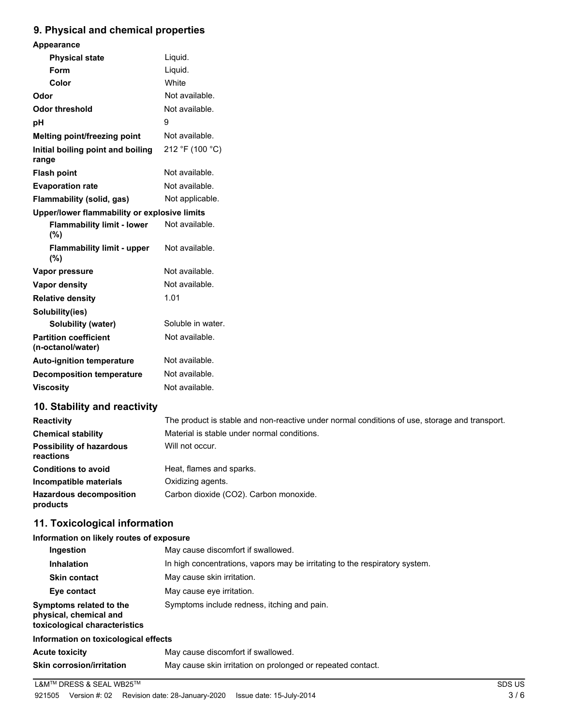# **9. Physical and chemical properties**

| Appearance                                        |                                                                                               |
|---------------------------------------------------|-----------------------------------------------------------------------------------------------|
| <b>Physical state</b>                             | Liquid.                                                                                       |
| Form                                              | Liquid.                                                                                       |
| Color                                             | White                                                                                         |
| Odor                                              | Not available.                                                                                |
| <b>Odor threshold</b>                             | Not available.                                                                                |
| pH                                                | 9                                                                                             |
| Melting point/freezing point                      | Not available.                                                                                |
| Initial boiling point and boiling<br>range        | 212 °F (100 °C)                                                                               |
| <b>Flash point</b>                                | Not available.                                                                                |
| <b>Evaporation rate</b>                           | Not available.                                                                                |
| Flammability (solid, gas)                         | Not applicable.                                                                               |
| Upper/lower flammability or explosive limits      |                                                                                               |
| <b>Flammability limit - lower</b><br>(%)          | Not available.                                                                                |
| <b>Flammability limit - upper</b><br>(%)          | Not available.                                                                                |
| Vapor pressure                                    | Not available.                                                                                |
| <b>Vapor density</b>                              | Not available.                                                                                |
| <b>Relative density</b>                           | 1.01                                                                                          |
| Solubility(ies)                                   |                                                                                               |
| <b>Solubility (water)</b>                         | Soluble in water.                                                                             |
| <b>Partition coefficient</b><br>(n-octanol/water) | Not available.                                                                                |
| <b>Auto-ignition temperature</b>                  | Not available.                                                                                |
| <b>Decomposition temperature</b>                  | Not available.                                                                                |
| <b>Viscosity</b>                                  | Not available.                                                                                |
| 10. Stability and reactivity                      |                                                                                               |
| <b>Reactivity</b>                                 | The product is stable and non-reactive under normal conditions of use, storage and transport. |
| <b>Chemical stability</b>                         | Material is stable under normal conditions.                                                   |
| <b>Possibility of hazardous</b><br>reactions      | Will not occur.                                                                               |
| <b>Conditions to avoid</b>                        | Heat, flames and sparks.                                                                      |
| Incompatible materials                            | Oxidizing agents.                                                                             |
| <b>Hazardous decomposition</b><br>products        | Carbon dioxide (CO2). Carbon monoxide.                                                        |
| 11. Toxicological information                     |                                                                                               |
| Information on likely routes of exposure          |                                                                                               |

| Ingestion                                                                          | May cause discomfort if swallowed.                                          |
|------------------------------------------------------------------------------------|-----------------------------------------------------------------------------|
| <b>Inhalation</b>                                                                  | In high concentrations, vapors may be irritating to the respiratory system. |
| <b>Skin contact</b>                                                                | May cause skin irritation.                                                  |
| Eye contact                                                                        | May cause eye irritation.                                                   |
| Symptoms related to the<br>physical, chemical and<br>toxicological characteristics | Symptoms include redness, itching and pain.                                 |
| Information on toxicological effects                                               |                                                                             |
| <b>Acute toxicity</b>                                                              | May cause discomfort if swallowed.                                          |
| <b>Skin corrosion/irritation</b>                                                   | May cause skin irritation on prolonged or repeated contact.                 |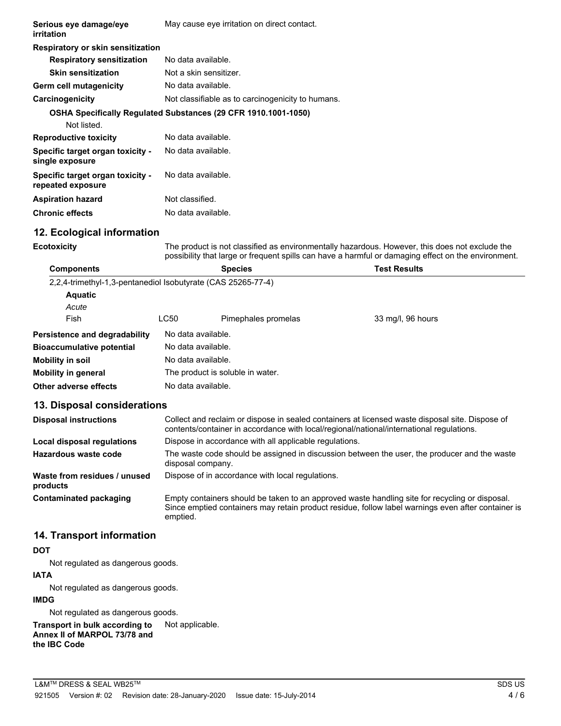| Serious eye damage/eye<br>irritation                                          |                                                                                                                                                                                             | May cause eye irritation on direct contact.            |                                                                                                                                                                                                       |
|-------------------------------------------------------------------------------|---------------------------------------------------------------------------------------------------------------------------------------------------------------------------------------------|--------------------------------------------------------|-------------------------------------------------------------------------------------------------------------------------------------------------------------------------------------------------------|
| Respiratory or skin sensitization                                             |                                                                                                                                                                                             |                                                        |                                                                                                                                                                                                       |
| <b>Respiratory sensitization</b>                                              | No data available.                                                                                                                                                                          |                                                        |                                                                                                                                                                                                       |
| <b>Skin sensitization</b>                                                     | Not a skin sensitizer.                                                                                                                                                                      |                                                        |                                                                                                                                                                                                       |
| Germ cell mutagenicity                                                        | No data available.                                                                                                                                                                          |                                                        |                                                                                                                                                                                                       |
| Carcinogenicity                                                               | Not classifiable as to carcinogenicity to humans.                                                                                                                                           |                                                        |                                                                                                                                                                                                       |
| OSHA Specifically Regulated Substances (29 CFR 1910.1001-1050)<br>Not listed. |                                                                                                                                                                                             |                                                        |                                                                                                                                                                                                       |
| <b>Reproductive toxicity</b>                                                  | No data available.                                                                                                                                                                          |                                                        |                                                                                                                                                                                                       |
| Specific target organ toxicity -<br>single exposure                           | No data available.                                                                                                                                                                          |                                                        |                                                                                                                                                                                                       |
| Specific target organ toxicity -<br>repeated exposure                         | No data available.                                                                                                                                                                          |                                                        |                                                                                                                                                                                                       |
| <b>Aspiration hazard</b>                                                      | Not classified.                                                                                                                                                                             |                                                        |                                                                                                                                                                                                       |
| <b>Chronic effects</b>                                                        | No data available.                                                                                                                                                                          |                                                        |                                                                                                                                                                                                       |
| 12. Ecological information                                                    |                                                                                                                                                                                             |                                                        |                                                                                                                                                                                                       |
| <b>Ecotoxicity</b>                                                            |                                                                                                                                                                                             |                                                        | The product is not classified as environmentally hazardous. However, this does not exclude the<br>possibility that large or frequent spills can have a harmful or damaging effect on the environment. |
| <b>Components</b>                                                             |                                                                                                                                                                                             | <b>Species</b>                                         | <b>Test Results</b>                                                                                                                                                                                   |
| 2,2,4-trimethyl-1,3-pentanediol Isobutyrate (CAS 25265-77-4)                  |                                                                                                                                                                                             |                                                        |                                                                                                                                                                                                       |
| <b>Aquatic</b>                                                                |                                                                                                                                                                                             |                                                        |                                                                                                                                                                                                       |
| Acute                                                                         |                                                                                                                                                                                             |                                                        |                                                                                                                                                                                                       |
| Fish                                                                          | LC50                                                                                                                                                                                        | Pimephales promelas                                    | 33 mg/l, 96 hours                                                                                                                                                                                     |
| Persistence and degradability                                                 | No data available.                                                                                                                                                                          |                                                        |                                                                                                                                                                                                       |
| <b>Bioaccumulative potential</b>                                              | No data available.                                                                                                                                                                          |                                                        |                                                                                                                                                                                                       |
| <b>Mobility in soil</b>                                                       | No data available.                                                                                                                                                                          |                                                        |                                                                                                                                                                                                       |
| <b>Mobility in general</b>                                                    | The product is soluble in water.                                                                                                                                                            |                                                        |                                                                                                                                                                                                       |
| <b>Other adverse effects</b>                                                  | No data available.                                                                                                                                                                          |                                                        |                                                                                                                                                                                                       |
| 13. Disposal considerations                                                   |                                                                                                                                                                                             |                                                        |                                                                                                                                                                                                       |
| <b>Disposal instructions</b>                                                  | Collect and reclaim or dispose in sealed containers at licensed waste disposal site. Dispose of<br>contents/container in accordance with local/regional/national/international regulations. |                                                        |                                                                                                                                                                                                       |
| Local disposal regulations                                                    |                                                                                                                                                                                             | Dispose in accordance with all applicable regulations. |                                                                                                                                                                                                       |
| Hazardous waste code                                                          | The waste code should be assigned in discussion between the user, the producer and the waste<br>disposal company.                                                                           |                                                        |                                                                                                                                                                                                       |
| Waste from residues / unused<br>products                                      |                                                                                                                                                                                             | Dispose of in accordance with local regulations.       |                                                                                                                                                                                                       |
| <b>Contaminated packaging</b>                                                 | emptied.                                                                                                                                                                                    |                                                        | Empty containers should be taken to an approved waste handling site for recycling or disposal.<br>Since emptied containers may retain product residue, follow label warnings even after container is  |

#### **14. Transport information**

## **DOT**

Not regulated as dangerous goods.

# **IATA**

Not regulated as dangerous goods.

## **IMDG**

Not regulated as dangerous goods.

**Transport in bulk according to** Not applicable. **Annex II of MARPOL 73/78 and the IBC Code**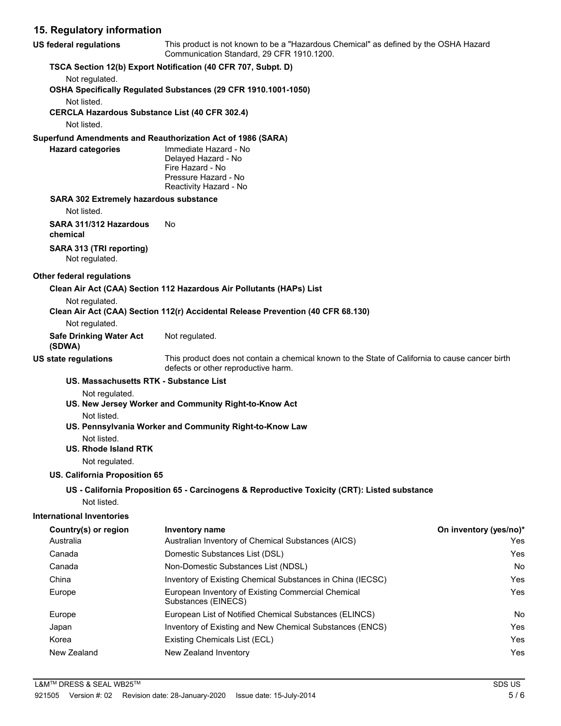## **15. Regulatory information**

| US federal regulations                                               | This product is not known to be a "Hazardous Chemical" as defined by the OSHA Hazard<br>Communication Standard, 29 CFR 1910.1200.      |                        |  |
|----------------------------------------------------------------------|----------------------------------------------------------------------------------------------------------------------------------------|------------------------|--|
|                                                                      | TSCA Section 12(b) Export Notification (40 CFR 707, Subpt. D)                                                                          |                        |  |
| Not regulated.                                                       |                                                                                                                                        |                        |  |
|                                                                      | OSHA Specifically Regulated Substances (29 CFR 1910.1001-1050)                                                                         |                        |  |
| Not listed.<br><b>CERCLA Hazardous Substance List (40 CFR 302.4)</b> |                                                                                                                                        |                        |  |
| Not listed.                                                          |                                                                                                                                        |                        |  |
|                                                                      | Superfund Amendments and Reauthorization Act of 1986 (SARA)                                                                            |                        |  |
| <b>Hazard categories</b>                                             | Immediate Hazard - No                                                                                                                  |                        |  |
|                                                                      | Delayed Hazard - No                                                                                                                    |                        |  |
|                                                                      | Fire Hazard - No                                                                                                                       |                        |  |
|                                                                      | Pressure Hazard - No<br>Reactivity Hazard - No                                                                                         |                        |  |
| <b>SARA 302 Extremely hazardous substance</b>                        |                                                                                                                                        |                        |  |
| Not listed.                                                          |                                                                                                                                        |                        |  |
| SARA 311/312 Hazardous                                               | No                                                                                                                                     |                        |  |
| chemical                                                             |                                                                                                                                        |                        |  |
| SARA 313 (TRI reporting)                                             |                                                                                                                                        |                        |  |
| Not regulated.                                                       |                                                                                                                                        |                        |  |
| <b>Other federal regulations</b>                                     |                                                                                                                                        |                        |  |
|                                                                      | Clean Air Act (CAA) Section 112 Hazardous Air Pollutants (HAPs) List                                                                   |                        |  |
| Not regulated.                                                       |                                                                                                                                        |                        |  |
|                                                                      | Clean Air Act (CAA) Section 112(r) Accidental Release Prevention (40 CFR 68.130)                                                       |                        |  |
| Not regulated.                                                       |                                                                                                                                        |                        |  |
| <b>Safe Drinking Water Act</b><br>(SDWA)                             | Not regulated.                                                                                                                         |                        |  |
| US state regulations                                                 | This product does not contain a chemical known to the State of California to cause cancer birth<br>defects or other reproductive harm. |                        |  |
| US. Massachusetts RTK - Substance List                               |                                                                                                                                        |                        |  |
| Not regulated.                                                       | US. New Jersey Worker and Community Right-to-Know Act                                                                                  |                        |  |
| Not listed.                                                          |                                                                                                                                        |                        |  |
|                                                                      | US. Pennsylvania Worker and Community Right-to-Know Law                                                                                |                        |  |
| Not listed.                                                          |                                                                                                                                        |                        |  |
| <b>US. Rhode Island RTK</b>                                          |                                                                                                                                        |                        |  |
| Not regulated.                                                       |                                                                                                                                        |                        |  |
| US. California Proposition 65                                        |                                                                                                                                        |                        |  |
|                                                                      | US - California Proposition 65 - Carcinogens & Reproductive Toxicity (CRT): Listed substance                                           |                        |  |
| Not listed.                                                          |                                                                                                                                        |                        |  |
| <b>International Inventories</b>                                     |                                                                                                                                        |                        |  |
| Country(s) or region                                                 | Inventory name                                                                                                                         | On inventory (yes/no)* |  |
| Australia                                                            | Australian Inventory of Chemical Substances (AICS)                                                                                     | Yes                    |  |
| Canada                                                               | Domestic Substances List (DSL)                                                                                                         | Yes                    |  |
| Canada                                                               | Non-Domestic Substances List (NDSL)                                                                                                    | No                     |  |
| China                                                                | Inventory of Existing Chemical Substances in China (IECSC)                                                                             | Yes                    |  |
| Europe                                                               | European Inventory of Existing Commercial Chemical<br>Substances (EINECS)                                                              | Yes                    |  |
| Europe                                                               | European List of Notified Chemical Substances (ELINCS)                                                                                 | No                     |  |
| Japan                                                                | Inventory of Existing and New Chemical Substances (ENCS)                                                                               | Yes                    |  |
|                                                                      |                                                                                                                                        |                        |  |

Korea **Existing Chemicals List (ECL) Existing Chemicals List (ECL) Nes** New Zealand New Zealand Inventory **New Zealand Inventory New Zealand Inventory**